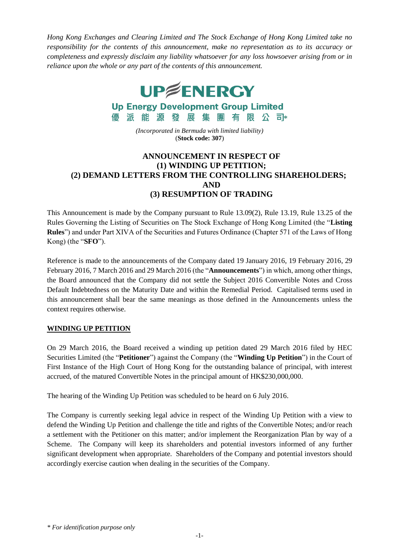*Hong Kong Exchanges and Clearing Limited and The Stock Exchange of Hong Kong Limited take no responsibility for the contents of this announcement, make no representation as to its accuracy or completeness and expressly disclaim any liability whatsoever for any loss howsoever arising from or in reliance upon the whole or any part of the contents of this announcement.*



**Up Energy Development Group Limited** 

優派 能 源 發 展 集 團 有 限 公 司<sub>\*</sub> *(Incorporated in Bermuda with limited liability)*

(**Stock code: 307**)

## **ANNOUNCEMENT IN RESPECT OF (1) WINDING UP PETITION; (2) DEMAND LETTERS FROM THE CONTROLLING SHAREHOLDERS; AND (3) RESUMPTION OF TRADING**

This Announcement is made by the Company pursuant to Rule 13.09(2), Rule 13.19, Rule 13.25 of the Rules Governing the Listing of Securities on The Stock Exchange of Hong Kong Limited (the "**Listing Rules**") and under Part XIVA of the Securities and Futures Ordinance (Chapter 571 of the Laws of Hong Kong) (the "**SFO**").

Reference is made to the announcements of the Company dated 19 January 2016, 19 February 2016, 29 February 2016, 7 March 2016 and 29 March 2016 (the "**Announcements**") in which, among other things, the Board announced that the Company did not settle the Subject 2016 Convertible Notes and Cross Default Indebtedness on the Maturity Date and within the Remedial Period. Capitalised terms used in this announcement shall bear the same meanings as those defined in the Announcements unless the context requires otherwise.

## **WINDING UP PETITION**

On 29 March 2016, the Board received a winding up petition dated 29 March 2016 filed by HEC Securities Limited (the "**Petitioner**") against the Company (the "**Winding Up Petition**") in the Court of First Instance of the High Court of Hong Kong for the outstanding balance of principal, with interest accrued, of the matured Convertible Notes in the principal amount of HK\$230,000,000.

The hearing of the Winding Up Petition was scheduled to be heard on 6 July 2016.

The Company is currently seeking legal advice in respect of the Winding Up Petition with a view to defend the Winding Up Petition and challenge the title and rights of the Convertible Notes; and/or reach a settlement with the Petitioner on this matter; and/or implement the Reorganization Plan by way of a Scheme. The Company will keep its shareholders and potential investors informed of any further significant development when appropriate. Shareholders of the Company and potential investors should accordingly exercise caution when dealing in the securities of the Company.